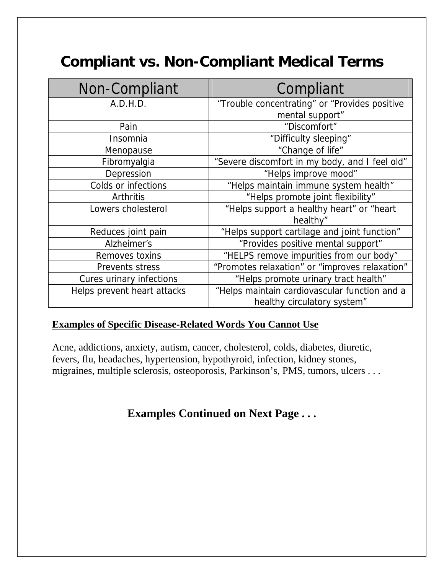## **Compliant vs. Non-Compliant Medical Terms**

| Non-Compliant               | Compliant                                      |
|-----------------------------|------------------------------------------------|
| A.D.H.D.                    | "Trouble concentrating" or "Provides positive  |
|                             | mental support"                                |
| Pain                        | "Discomfort"                                   |
| Insomnia                    | "Difficulty sleeping"                          |
| Menopause                   | "Change of life"                               |
| Fibromyalgia                | "Severe discomfort in my body, and I feel old" |
| Depression                  | "Helps improve mood"                           |
| Colds or infections         | "Helps maintain immune system health"          |
| Arthritis                   | "Helps promote joint flexibility"              |
| Lowers cholesterol          | "Helps support a healthy heart" or "heart      |
|                             | healthy"                                       |
| Reduces joint pain          | "Helps support cartilage and joint function"   |
| Alzheimer's                 | "Provides positive mental support"             |
| Removes toxins              | "HELPS remove impurities from our body"        |
| Prevents stress             | "Promotes relaxation" or "improves relaxation" |
| Cures urinary infections    | "Helps promote urinary tract health"           |
| Helps prevent heart attacks | "Helps maintain cardiovascular function and a  |
|                             | healthy circulatory system"                    |

## **Examples of Specific Disease-Related Words You Cannot Use**

Acne, addictions, anxiety, autism, cancer, cholesterol, colds, diabetes, diuretic, fevers, flu, headaches, hypertension, hypothyroid, infection, kidney stones, migraines, multiple sclerosis, osteoporosis, Parkinson's, PMS, tumors, ulcers . . .

**Examples Continued on Next Page . . .**